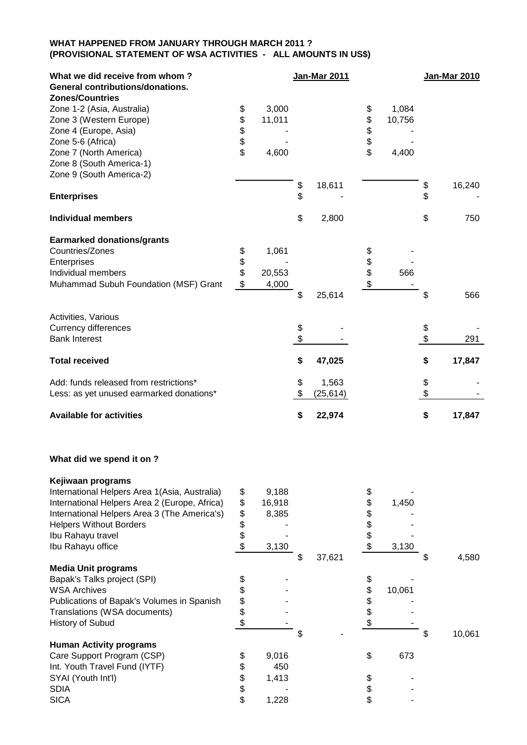## **WHAT HAPPENED FROM JANUARY THROUGH MARCH 2011 ? (PROVISIONAL STATEMENT OF WSA ACTIVITIES - ALL AMOUNTS IN US\$)**

| What we did receive from whom?<br><b>General contributions/donations.</b><br><b>Zones/Countries</b>                                                                                                                                             |                                  |                                   |          | <b>Jan-Mar 2011</b> |                                  |                 |          | Jan-Mar 2010 |
|-------------------------------------------------------------------------------------------------------------------------------------------------------------------------------------------------------------------------------------------------|----------------------------------|-----------------------------------|----------|---------------------|----------------------------------|-----------------|----------|--------------|
| Zone 1-2 (Asia, Australia)<br>Zone 3 (Western Europe)<br>Zone 4 (Europe, Asia)<br>Zone 5-6 (Africa)                                                                                                                                             | \$<br>\$<br>\$<br>\$             | 3,000<br>11,011                   |          |                     | \$<br>\$<br>\$<br>\$             | 1,084<br>10,756 |          |              |
| Zone 7 (North America)<br>Zone 8 (South America-1)<br>Zone 9 (South America-2)                                                                                                                                                                  | \$                               | 4,600                             |          |                     | \$                               | 4,400           |          |              |
| <b>Enterprises</b>                                                                                                                                                                                                                              |                                  |                                   | \$<br>\$ | 18,611              |                                  |                 | \$<br>\$ | 16,240       |
| <b>Individual members</b>                                                                                                                                                                                                                       |                                  |                                   | \$       | 2,800               |                                  |                 | \$       | 750          |
| <b>Earmarked donations/grants</b><br>Countries/Zones<br>Enterprises<br>Individual members<br>Muhammad Subuh Foundation (MSF) Grant                                                                                                              | \$<br>\$<br>\$<br>\$             | 1,061<br>20,553<br>4,000          |          |                     | \$<br>\$<br>\$<br>\$             | 566             |          |              |
|                                                                                                                                                                                                                                                 |                                  |                                   | \$       | 25,614              |                                  |                 | \$       | 566          |
| Activities, Various<br><b>Currency differences</b><br><b>Bank Interest</b>                                                                                                                                                                      |                                  |                                   | \$<br>\$ |                     |                                  |                 | \$<br>\$ | 291          |
| <b>Total received</b>                                                                                                                                                                                                                           |                                  |                                   | \$       | 47,025              |                                  |                 | \$       | 17,847       |
| Add: funds released from restrictions*<br>Less: as yet unused earmarked donations*                                                                                                                                                              |                                  |                                   | \$<br>\$ | 1,563<br>(25, 614)  |                                  |                 | \$<br>\$ |              |
| <b>Available for activities</b>                                                                                                                                                                                                                 |                                  |                                   | \$       | 22,974              |                                  |                 | \$       | 17,847       |
| What did we spend it on?                                                                                                                                                                                                                        |                                  |                                   |          |                     |                                  |                 |          |              |
| Kejiwaan programs<br>International Helpers Area 1(Asia, Australia)<br>International Helpers Area 2 (Europe, Africa)<br>International Helpers Area 3 (The America's)<br><b>Helpers Without Borders</b><br>Ibu Rahayu travel<br>Ibu Rahayu office | \$<br>\$<br>\$<br>\$<br>\$<br>\$ | 9,188<br>16,918<br>8,385<br>3,130 | \$       | 37,621              | \$<br>\$<br>\$<br>\$<br>\$<br>\$ | 1,450<br>3,130  | \$       | 4,580        |
| <b>Media Unit programs</b><br>Bapak's Talks project (SPI)<br><b>WSA Archives</b><br>Publications of Bapak's Volumes in Spanish<br>Translations (WSA documents)<br>History of Subud                                                              | \$\$\$<br>\$                     |                                   | \$       |                     | \$<br>\$<br>\$<br>\$<br>\$       | 10,061          | \$       | 10,061       |
| <b>Human Activity programs</b><br>Care Support Program (CSP)<br>Int. Youth Travel Fund (IYTF)<br>SYAI (Youth Int'l)<br><b>SDIA</b><br><b>SICA</b>                                                                                               | \$<br>\$<br>\$<br>\$<br>\$       | 9,016<br>450<br>1,413<br>1,228    |          |                     | \$<br>\$<br>\$<br>\$             | 673             |          |              |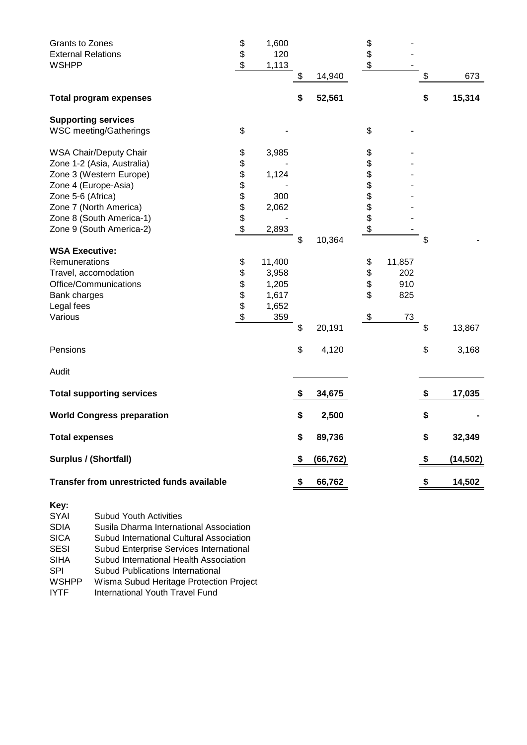| <b>Grants to Zones</b>                     | \$<br>\$                   | 1,600  |    |           | \$       |        |                 |
|--------------------------------------------|----------------------------|--------|----|-----------|----------|--------|-----------------|
| <b>External Relations</b>                  |                            | 120    |    |           | \$       |        |                 |
| <b>WSHPP</b>                               | $\boldsymbol{\mathsf{\$}}$ | 1,113  | \$ | 14,940    | \$       |        | \$<br>673       |
| <b>Total program expenses</b>              |                            |        | \$ | 52,561    |          |        | \$<br>15,314    |
| <b>Supporting services</b>                 |                            |        |    |           |          |        |                 |
| <b>WSC meeting/Gatherings</b>              | \$                         |        |    |           | \$       |        |                 |
| WSA Chair/Deputy Chair                     | \$                         | 3,985  |    |           | \$       |        |                 |
| Zone 1-2 (Asia, Australia)                 | \$                         |        |    |           | \$       |        |                 |
| Zone 3 (Western Europe)                    | \$                         | 1,124  |    |           | \$       |        |                 |
| Zone 4 (Europe-Asia)                       | \$                         |        |    |           | \$       |        |                 |
| Zone 5-6 (Africa)                          | \$                         | 300    |    |           |          |        |                 |
| Zone 7 (North America)                     | \$                         | 2,062  |    |           | \$\$\$\$ |        |                 |
| Zone 8 (South America-1)                   |                            |        |    |           |          |        |                 |
| Zone 9 (South America-2)                   | \$                         | 2,893  |    |           |          |        |                 |
|                                            |                            |        | \$ | 10,364    |          |        | \$              |
| <b>WSA Executive:</b>                      |                            |        |    |           |          |        |                 |
| Remunerations                              | \$                         | 11,400 |    |           | \$       | 11,857 |                 |
| Travel, accomodation                       | \$                         | 3,958  |    |           | \$       | 202    |                 |
| Office/Communications                      | \$<br>\$                   | 1,205  |    |           | \$       | 910    |                 |
| Bank charges                               |                            | 1,617  |    |           | \$       | 825    |                 |
| Legal fees                                 | \$                         | 1,652  |    |           |          |        |                 |
| Various                                    | $\boldsymbol{\theta}$      | 359    |    |           | \$       | 73     |                 |
|                                            |                            |        | \$ | 20,191    |          |        | \$<br>13,867    |
| Pensions                                   |                            |        | \$ | 4,120     |          |        | \$<br>3,168     |
| Audit                                      |                            |        |    |           |          |        |                 |
| <b>Total supporting services</b>           |                            |        | S  | 34,675    |          |        | \$<br>17,035    |
| <b>World Congress preparation</b>          |                            |        | \$ | 2,500     |          |        | \$              |
| <b>Total expenses</b>                      |                            |        | \$ | 89,736    |          |        | \$<br>32,349    |
| <b>Surplus / (Shortfall)</b>               |                            |        | S  | (66, 762) |          |        | \$<br>(14, 502) |
| Transfer from unrestricted funds available |                            |        | \$ | 66,762    |          |        | \$<br>14,502    |
| Key:                                       |                            |        |    |           |          |        |                 |

| <b>SYAI</b>  | <b>Subud Youth Activities</b>            |
|--------------|------------------------------------------|
| <b>SDIA</b>  | Susila Dharma International Association  |
| <b>SICA</b>  | Subud International Cultural Association |
| <b>SESI</b>  | Subud Enterprise Services International  |
| <b>SIHA</b>  | Subud International Health Association   |
| <b>SPI</b>   | <b>Subud Publications International</b>  |
| <b>WSHPP</b> | Wisma Subud Heritage Protection Project  |
| <b>IYTF</b>  | International Youth Travel Fund          |
|              |                                          |